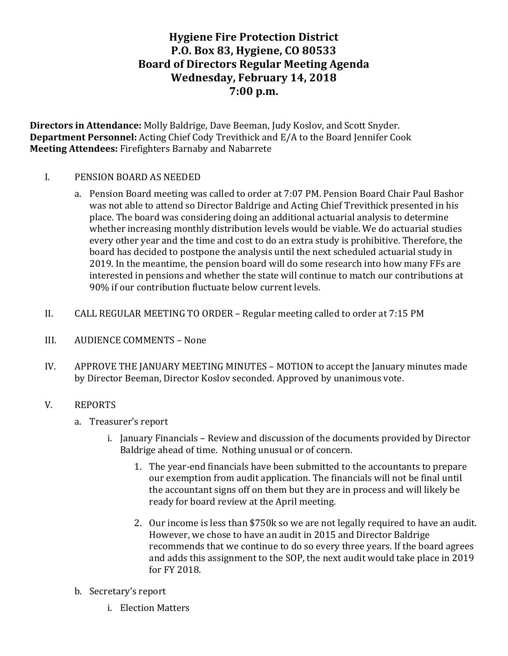# **Hygiene Fire Protection District P.O. Box 83, Hygiene, CO 80533 Board of Directors Regular Meeting Agenda Wednesday, February 14, 2018 7:00 p.m.**

**Directors in Attendance:** Molly Baldrige, Dave Beeman, Judy Koslov, and Scott Snyder. **Department Personnel:** Acting Chief Cody Trevithick and E/A to the Board Jennifer Cook **Meeting Attendees:** Firefighters Barnaby and Nabarrete

#### I. PENSION BOARD AS NEEDED

- a. Pension Board meeting was called to order at 7:07 PM. Pension Board Chair Paul Bashor was not able to attend so Director Baldrige and Acting Chief Trevithick presented in his place. The board was considering doing an additional actuarial analysis to determine whether increasing monthly distribution levels would be viable. We do actuarial studies every other year and the time and cost to do an extra study is prohibitive. Therefore, the board has decided to postpone the analysis until the next scheduled actuarial study in 2019. In the meantime, the pension board will do some research into how many FFs are interested in pensions and whether the state will continue to match our contributions at 90% if our contribution fluctuate below current levels.
- II. CALL REGULAR MEETING TO ORDER Regular meeting called to order at 7:15 PM
- III. AUDIENCE COMMENTS None
- IV. APPROVE THE JANUARY MEETING MINUTES MOTION to accept the January minutes made by Director Beeman, Director Koslov seconded. Approved by unanimous vote.

#### V. REPORTS

- a. Treasurer's report
	- i. January Financials Review and discussion of the documents provided by Director Baldrige ahead of time. Nothing unusual or of concern.
		- 1. The year-end financials have been submitted to the accountants to prepare our exemption from audit application. The financials will not be final until the accountant signs off on them but they are in process and will likely be ready for board review at the April meeting.
		- 2. Our income is less than \$750k so we are not legally required to have an audit. However, we chose to have an audit in 2015 and Director Baldrige recommends that we continue to do so every three years. If the board agrees and adds this assignment to the SOP, the next audit would take place in 2019 for FY 2018.
- b. Secretary's report
	- i. Election Matters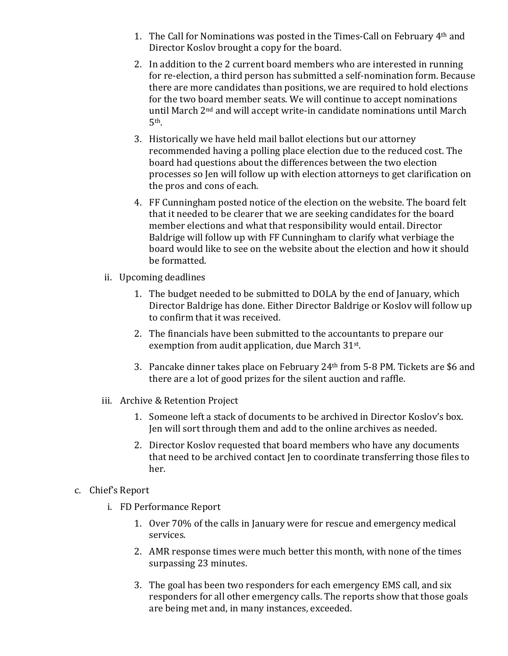- 1. The Call for Nominations was posted in the Times-Call on February  $4<sup>th</sup>$  and Director Koslov brought a copy for the board.
- 2. In addition to the 2 current board members who are interested in running for re-election, a third person has submitted a self-nomination form. Because there are more candidates than positions, we are required to hold elections for the two board member seats. We will continue to accept nominations until March  $2<sup>nd</sup>$  and will accept write-in candidate nominations until March 5th.
- 3. Historically we have held mail ballot elections but our attorney recommended having a polling place election due to the reduced cost. The board had questions about the differences between the two election processes so Jen will follow up with election attorneys to get clarification on the pros and cons of each.
- 4. FF Cunningham posted notice of the election on the website. The board felt that it needed to be clearer that we are seeking candidates for the board member elections and what that responsibility would entail. Director Baldrige will follow up with FF Cunningham to clarify what verbiage the board would like to see on the website about the election and how it should be formatted.
- ii. Upcoming deadlines
	- 1. The budget needed to be submitted to DOLA by the end of January, which Director Baldrige has done. Either Director Baldrige or Koslov will follow up to confirm that it was received.
	- 2. The financials have been submitted to the accountants to prepare our exemption from audit application, due March 31st.
	- 3. Pancake dinner takes place on February  $24<sup>th</sup>$  from 5-8 PM. Tickets are \$6 and there are a lot of good prizes for the silent auction and raffle.
- iii. Archive & Retention Project
	- 1. Someone left a stack of documents to be archived in Director Koslov's box. Jen will sort through them and add to the online archives as needed.
	- 2. Director Koslov requested that board members who have any documents that need to be archived contact Jen to coordinate transferring those files to her.
- c. Chief's Report
	- i. FD Performance Report
		- 1. Over 70% of the calls in January were for rescue and emergency medical services.
		- 2. AMR response times were much better this month, with none of the times surpassing 23 minutes.
		- 3. The goal has been two responders for each emergency EMS call, and six responders for all other emergency calls. The reports show that those goals are being met and, in many instances, exceeded.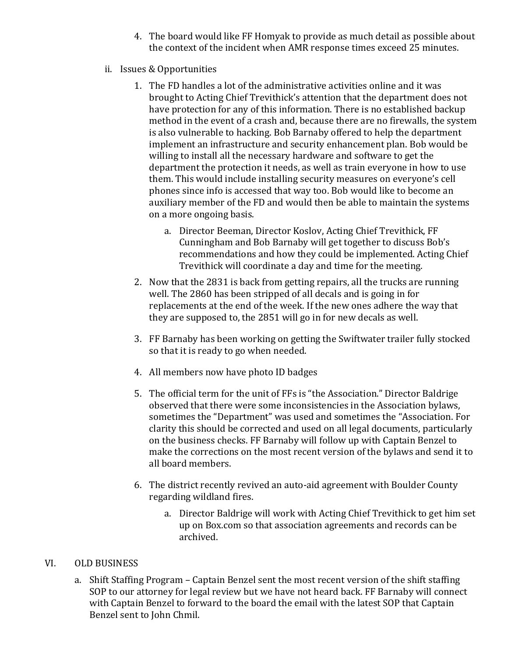- 4. The board would like FF Homyak to provide as much detail as possible about the context of the incident when AMR response times exceed 25 minutes.
- ii. Issues & Opportunities
	- 1. The FD handles a lot of the administrative activities online and it was brought to Acting Chief Trevithick's attention that the department does not have protection for any of this information. There is no established backup method in the event of a crash and, because there are no firewalls, the system is also vulnerable to hacking. Bob Barnaby offered to help the department implement an infrastructure and security enhancement plan. Bob would be willing to install all the necessary hardware and software to get the department the protection it needs, as well as train everyone in how to use them. This would include installing security measures on everyone's cell phones since info is accessed that way too. Bob would like to become an auxiliary member of the FD and would then be able to maintain the systems on a more ongoing basis.
		- a. Director Beeman, Director Koslov, Acting Chief Trevithick, FF Cunningham and Bob Barnaby will get together to discuss Bob's recommendations and how they could be implemented. Acting Chief Trevithick will coordinate a day and time for the meeting.
	- 2. Now that the 2831 is back from getting repairs, all the trucks are running well. The 2860 has been stripped of all decals and is going in for replacements at the end of the week. If the new ones adhere the way that they are supposed to, the 2851 will go in for new decals as well.
	- 3. FF Barnaby has been working on getting the Swiftwater trailer fully stocked so that it is ready to go when needed.
	- 4. All members now have photo ID badges
	- 5. The official term for the unit of FFs is "the Association." Director Baldrige observed that there were some inconsistencies in the Association bylaws, sometimes the "Department" was used and sometimes the "Association. For clarity this should be corrected and used on all legal documents, particularly on the business checks. FF Barnaby will follow up with Captain Benzel to make the corrections on the most recent version of the bylaws and send it to all board members.
	- 6. The district recently revived an auto-aid agreement with Boulder County regarding wildland fires.
		- a. Director Baldrige will work with Acting Chief Trevithick to get him set up on Box.com so that association agreements and records can be archived.

### VI. OLD BUSINESS

a. Shift Staffing Program – Captain Benzel sent the most recent version of the shift staffing SOP to our attorney for legal review but we have not heard back. FF Barnaby will connect with Captain Benzel to forward to the board the email with the latest SOP that Captain Benzel sent to John Chmil.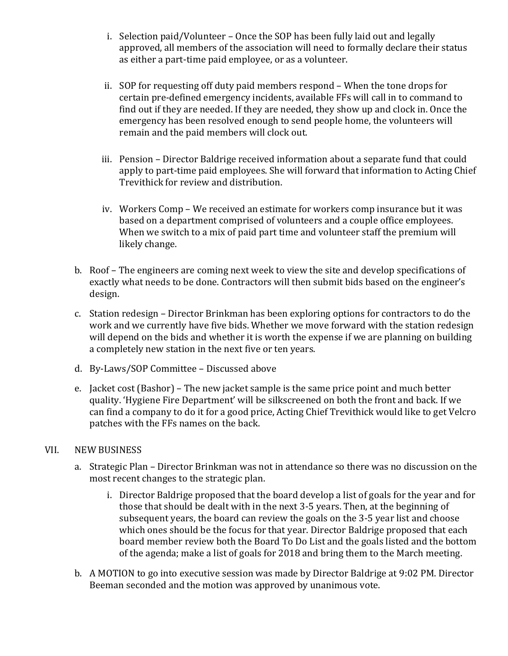- i. Selection paid/Volunteer  $-$  Once the SOP has been fully laid out and legally approved, all members of the association will need to formally declare their status as either a part-time paid employee, or as a volunteer.
- ii. SOP for requesting off duty paid members respond When the tone drops for certain pre-defined emergency incidents, available FFs will call in to command to find out if they are needed. If they are needed, they show up and clock in. Once the emergency has been resolved enough to send people home, the volunteers will remain and the paid members will clock out.
- iii. Pension Director Baldrige received information about a separate fund that could apply to part-time paid employees. She will forward that information to Acting Chief Trevithick for review and distribution.
- iv. Workers Comp We received an estimate for workers comp insurance but it was based on a department comprised of volunteers and a couple office employees. When we switch to a mix of paid part time and volunteer staff the premium will likely change.
- b. Roof The engineers are coming next week to view the site and develop specifications of exactly what needs to be done. Contractors will then submit bids based on the engineer's design.
- c. Station redesign Director Brinkman has been exploring options for contractors to do the work and we currently have five bids. Whether we move forward with the station redesign will depend on the bids and whether it is worth the expense if we are planning on building a completely new station in the next five or ten years.
- d. By-Laws/SOP Committee Discussed above
- e. Jacket cost (Bashor) The new jacket sample is the same price point and much better quality. 'Hygiene Fire Department' will be silkscreened on both the front and back. If we can find a company to do it for a good price, Acting Chief Trevithick would like to get Velcro patches with the FFs names on the back.

#### VII. NEW BUSINESS

- a. Strategic Plan Director Brinkman was not in attendance so there was no discussion on the most recent changes to the strategic plan.
	- i. Director Baldrige proposed that the board develop a list of goals for the year and for those that should be dealt with in the next 3-5 vears. Then, at the beginning of subsequent years, the board can review the goals on the 3-5 year list and choose which ones should be the focus for that year. Director Baldrige proposed that each board member review both the Board To Do List and the goals listed and the bottom of the agenda; make a list of goals for 2018 and bring them to the March meeting.
- b. A MOTION to go into executive session was made by Director Baldrige at 9:02 PM. Director Beeman seconded and the motion was approved by unanimous vote.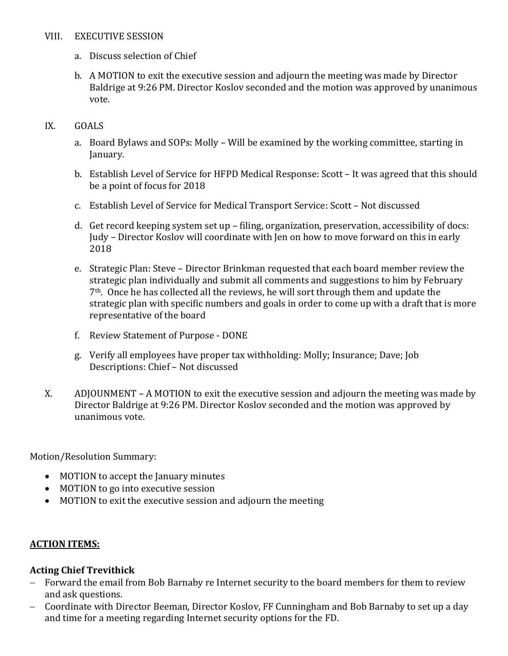#### VIII. EXECUTIVE SESSION

- a. Discuss selection of Chief
- b. A MOTION to exit the executive session and adjourn the meeting was made by Director Baldrige at 9:26 PM. Director Koslov seconded and the motion was approved by unanimous vote.

#### IX. GOALS

- a. Board Bylaws and SOPs: Molly Will be examined by the working committee, starting in January.
- b. Establish Level of Service for HFPD Medical Response: Scott It was agreed that this should be a point of focus for 2018
- c. Establish Level of Service for Medical Transport Service: Scott Not discussed
- d. Get record keeping system set up filing, organization, preservation, accessibility of docs: Judy - Director Koslov will coordinate with Jen on how to move forward on this in early 2018
- e. Strategic Plan: Steve Director Brinkman requested that each board member review the strategic plan individually and submit all comments and suggestions to him by February  $7<sup>th</sup>$ . Once he has collected all the reviews, he will sort through them and update the strategic plan with specific numbers and goals in order to come up with a draft that is more representative of the board
- f. Review Statement of Purpose DONE
- g. Verify all employees have proper tax withholding: Molly; Insurance; Dave; Job Descriptions: Chief - Not discussed
- X. ADJOUNMENT A MOTION to exit the executive session and adjourn the meeting was made by Director Baldrige at 9:26 PM. Director Koslov seconded and the motion was approved by unanimous vote.

Motion/Resolution Summary:

- MOTION to accept the January minutes
- MOTION to go into executive session
- MOTION to exit the executive session and adjourn the meeting

### **ACTION ITEMS:**

### **Acting Chief Trevithick**

- Forward the email from Bob Barnaby re Internet security to the board members for them to review and ask questions.
- Coordinate with Director Beeman, Director Koslov, FF Cunningham and Bob Barnaby to set up a day and time for a meeting regarding Internet security options for the FD.